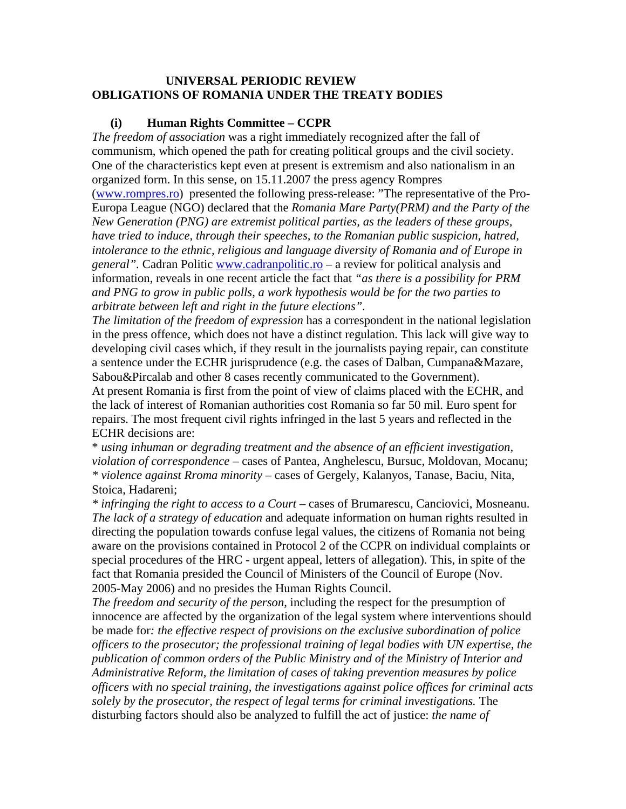### **UNIVERSAL PERIODIC REVIEW OBLIGATIONS OF ROMANIA UNDER THE TREATY BODIES**

### **(i) Human Rights Committee – CCPR**

*The freedom of association* was a right immediately recognized after the fall of communism, which opened the path for creating political groups and the civil society. One of the characteristics kept even at present is extremism and also nationalism in an organized form. In this sense, on 15.11.2007 the press agency Rompres ([www.rompres.ro](http://www.rompres.ro/)) presented the following press-release: "The representative of the Pro-Europa League (NGO) declared that the *Romania Mare Party(PRM) and the Party of the New Generation (PNG) are extremist political parties, as the leaders of these groups, have tried to induce, through their speeches, to the Romanian public suspicion, hatred, intolerance to the ethnic, religious and language diversity of Romania and of Europe in general".* Cadran Politic [www.cadranpolitic.ro](http://www.cadranpolitic.ro/) – a review for political analysis and information, reveals in one recent article the fact that *"as there is a possibility for PRM and PNG to grow in public polls, a work hypothesis would be for the two parties to arbitrate between left and right in the future elections".*

*The limitation of the freedom of expression* has a correspondent in the national legislation in the press offence, which does not have a distinct regulation. This lack will give way to developing civil cases which, if they result in the journalists paying repair, can constitute a sentence under the ECHR jurisprudence (e.g. the cases of Dalban, Cumpana&Mazare, Sabou&Pircalab and other 8 cases recently communicated to the Government).

At present Romania is first from the point of view of claims placed with the ECHR, and the lack of interest of Romanian authorities cost Romania so far 50 mil. Euro spent for repairs. The most frequent civil rights infringed in the last 5 years and reflected in the ECHR decisions are:

\* *using inhuman or degrading treatment and the absence of an efficient investigation, violation of correspondence* – cases of Pantea, Anghelescu, Bursuc, Moldovan, Mocanu; *\* violence against Rroma minority* – cases of Gergely, Kalanyos, Tanase, Baciu, Nita, Stoica, Hadareni;

*\* infringing the right to access to a Court* – cases of Brumarescu, Canciovici, Mosneanu. *The lack of a strategy of education* and adequate information on human rights resulted in directing the population towards confuse legal values, the citizens of Romania not being aware on the provisions contained in Protocol 2 of the CCPR on individual complaints or special procedures of the HRC - urgent appeal, letters of allegation). This, in spite of the fact that Romania presided the Council of Ministers of the Council of Europe (Nov. 2005-May 2006) and no presides the Human Rights Council.

*The freedom and security of the person,* including the respect for the presumption of innocence are affected by the organization of the legal system where interventions should be made for*: the effective respect of provisions on the exclusive subordination of police officers to the prosecutor; the professional training of legal bodies with UN expertise, the publication of common orders of the Public Ministry and of the Ministry of Interior and Administrative Reform, the limitation of cases of taking prevention measures by police officers with no special training, the investigations against police offices for criminal acts*  solely by the prosecutor, the respect of legal terms for criminal investigations. The disturbing factors should also be analyzed to fulfill the act of justice: *the name of*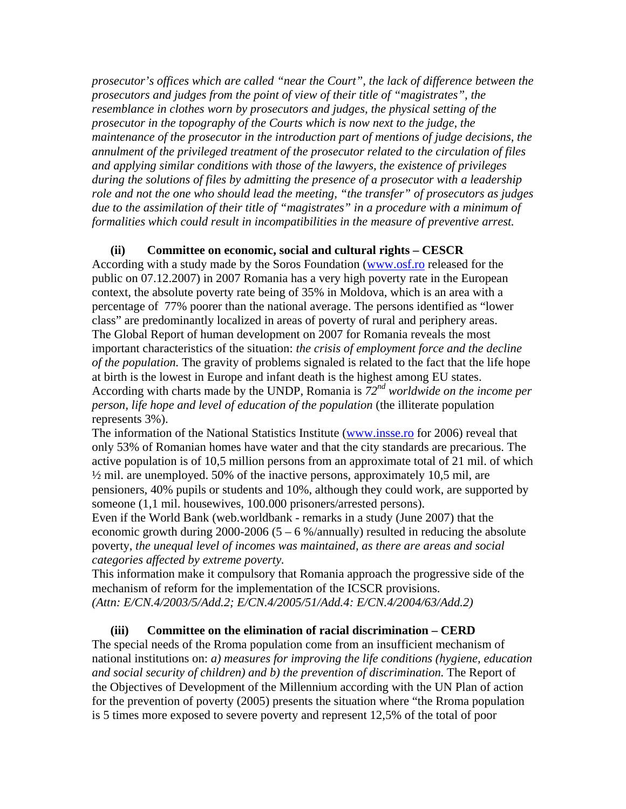*prosecutor's offices which are called "near the Court", the lack of difference between the prosecutors and judges from the point of view of their title of "magistrates", the resemblance in clothes worn by prosecutors and judges, the physical setting of the prosecutor in the topography of the Courts which is now next to the judge, the maintenance of the prosecutor in the introduction part of mentions of judge decisions, the annulment of the privileged treatment of the prosecutor related to the circulation of files and applying similar conditions with those of the lawyers, the existence of privileges during the solutions of files by admitting the presence of a prosecutor with a leadership role and not the one who should lead the meeting, "the transfer" of prosecutors as judges due to the assimilation of their title of "magistrates" in a procedure with a minimum of formalities which could result in incompatibilities in the measure of preventive arrest.* 

### **(ii) Committee on economic, social and cultural rights – CESCR**

According with a study made by the Soros Foundation [\(www.osf.ro](http://www.osf.ro/) released for the public on 07.12.2007) in 2007 Romania has a very high poverty rate in the European context, the absolute poverty rate being of 35% in Moldova, which is an area with a percentage of 77% poorer than the national average. The persons identified as "lower class" are predominantly localized in areas of poverty of rural and periphery areas. The Global Report of human development on 2007 for Romania reveals the most important characteristics of the situation: *the crisis of employment force and the decline of the population.* The gravity of problems signaled is related to the fact that the life hope at birth is the lowest in Europe and infant death is the highest among EU states. According with charts made by the UNDP, Romania is *72nd worldwide on the income per person, life hope and level of education of the population* (the illiterate population represents 3%).

The information of the National Statistics Institute ([www.insse.ro](http://www.insse.ro/) for 2006) reveal that only 53% of Romanian homes have water and that the city standards are precarious. The active population is of 10,5 million persons from an approximate total of 21 mil. of which  $\frac{1}{2}$  mil. are unemployed. 50% of the inactive persons, approximately 10,5 mil, are pensioners, 40% pupils or students and 10%, although they could work, are supported by someone (1,1 mil. housewives, 100.000 prisoners/arrested persons).

Even if the World Bank (web.worldbank - remarks in a study (June 2007) that the economic growth during 2000-2006 ( $5 - 6$  %/annually) resulted in reducing the absolute poverty, *the unequal level of incomes was maintained, as there are areas and social categories affected by extreme poverty.* 

This information make it compulsory that Romania approach the progressive side of the mechanism of reform for the implementation of the ICSCR provisions. *(Attn: E/CN.4/2003/5/Add.2; E/CN.4/2005/51/Add.4: E/CN.4/2004/63/Add.2)* 

# **(iii) Committee on the elimination of racial discrimination – CERD**

The special needs of the Rroma population come from an insufficient mechanism of national institutions on: *a) measures for improving the life conditions (hygiene, education and social security of children) and b) the prevention of discrimination.* The Report of the Objectives of Development of the Millennium according with the UN Plan of action for the prevention of poverty (2005) presents the situation where "the Rroma population is 5 times more exposed to severe poverty and represent 12,5% of the total of poor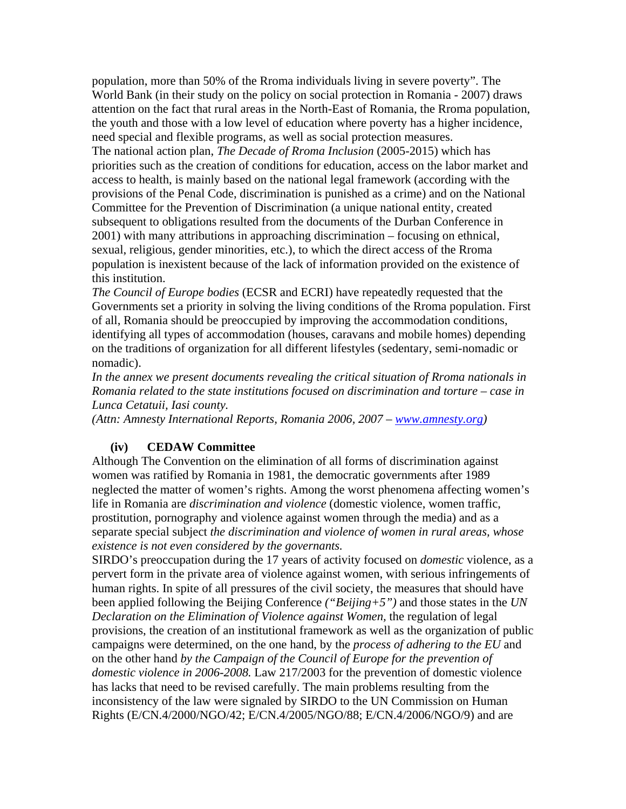population, more than 50% of the Rroma individuals living in severe poverty". The World Bank (in their study on the policy on social protection in Romania - 2007) draws attention on the fact that rural areas in the North-East of Romania, the Rroma population, the youth and those with a low level of education where poverty has a higher incidence, need special and flexible programs, as well as social protection measures.

The national action plan, *The Decade of Rroma Inclusion* (2005-2015) which has priorities such as the creation of conditions for education, access on the labor market and access to health, is mainly based on the national legal framework (according with the provisions of the Penal Code, discrimination is punished as a crime) and on the National Committee for the Prevention of Discrimination (a unique national entity, created subsequent to obligations resulted from the documents of the Durban Conference in 2001) with many attributions in approaching discrimination – focusing on ethnical, sexual, religious, gender minorities, etc.), to which the direct access of the Rroma population is inexistent because of the lack of information provided on the existence of this institution.

*The Council of Europe bodies* (ECSR and ECRI) have repeatedly requested that the Governments set a priority in solving the living conditions of the Rroma population. First of all, Romania should be preoccupied by improving the accommodation conditions, identifying all types of accommodation (houses, caravans and mobile homes) depending on the traditions of organization for all different lifestyles (sedentary, semi-nomadic or nomadic).

*In the annex we present documents revealing the critical situation of Rroma nationals in Romania related to the state institutions focused on discrimination and torture – case in Lunca Cetatuii, Iasi county.* 

*(Attn: Amnesty International Reports, Romania 2006, 2007 – [www.amnesty.org\)](http://www.amnesty.org/)* 

#### **(iv) CEDAW Committee**

Although The Convention on the elimination of all forms of discrimination against women was ratified by Romania in 1981, the democratic governments after 1989 neglected the matter of women's rights. Among the worst phenomena affecting women's life in Romania are *discrimination and violence* (domestic violence, women traffic, prostitution, pornography and violence against women through the media) and as a separate special subject *the discrimination and violence of women in rural areas, whose existence is not even considered by the governants.* 

SIRDO's preoccupation during the 17 years of activity focused on *domestic* violence, as a pervert form in the private area of violence against women, with serious infringements of human rights. In spite of all pressures of the civil society, the measures that should have been applied following the Beijing Conference *("Beijing+5")* and those states in the *UN Declaration on the Elimination of Violence against Women,* the regulation of legal provisions, the creation of an institutional framework as well as the organization of public campaigns were determined, on the one hand, by the *process of adhering to the EU* and on the other hand *by the Campaign of the Council of Europe for the prevention of domestic violence in 2006-2008.* Law 217/2003 for the prevention of domestic violence has lacks that need to be revised carefully. The main problems resulting from the inconsistency of the law were signaled by SIRDO to the UN Commission on Human Rights (E/CN.4/2000/NGO/42; E/CN.4/2005/NGO/88; E/CN.4/2006/NGO/9) and are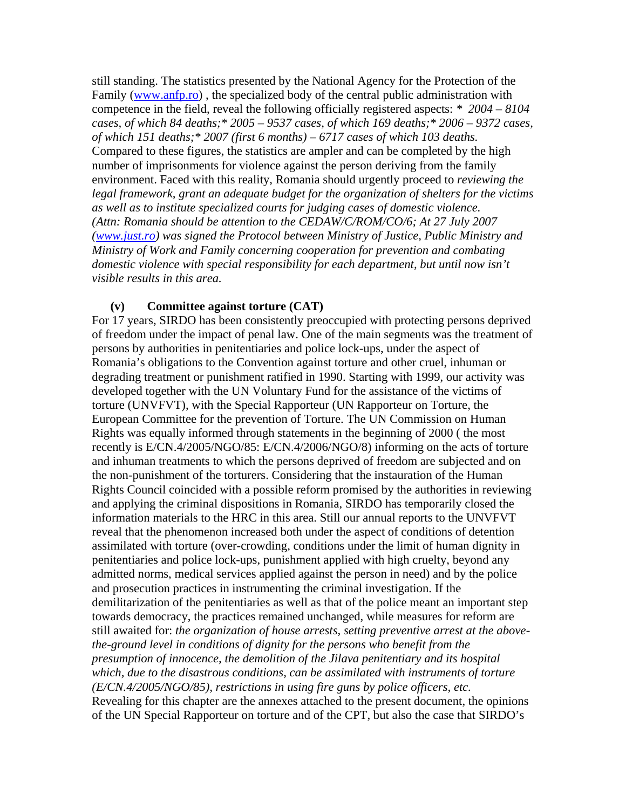still standing. The statistics presented by the National Agency for the Protection of the Family [\(www.anfp.ro](http://www.anfp.ro/)), the specialized body of the central public administration with competence in the field, reveal the following officially registered aspects: *\* 2004 – 8104 cases, of which 84 deaths;\* 2005 – 9537 cases, of which 169 deaths;\* 2006 – 9372 cases, of which 151 deaths;\* 2007 (first 6 months) – 6717 cases of which 103 deaths.*  Compared to these figures, the statistics are ampler and can be completed by the high number of imprisonments for violence against the person deriving from the family environment. Faced with this reality, Romania should urgently proceed to *reviewing the legal framework, grant an adequate budget for the organization of shelters for the victims as well as to institute specialized courts for judging cases of domestic violence. (Attn: Romania should be attention to the CEDAW/C/ROM/CO/6; At 27 July 2007 ([www.just.ro](http://www.just.ro/)) was signed the Protocol between Ministry of Justice, Public Ministry and Ministry of Work and Family concerning cooperation for prevention and combating domestic violence with special responsibility for each department, but until now isn't visible results in this area.* 

### **(v) Committee against torture (CAT)**

For 17 years, SIRDO has been consistently preoccupied with protecting persons deprived of freedom under the impact of penal law. One of the main segments was the treatment of persons by authorities in penitentiaries and police lock-ups, under the aspect of Romania's obligations to the Convention against torture and other cruel, inhuman or degrading treatment or punishment ratified in 1990. Starting with 1999, our activity was developed together with the UN Voluntary Fund for the assistance of the victims of torture (UNVFVT), with the Special Rapporteur (UN Rapporteur on Torture, the European Committee for the prevention of Torture. The UN Commission on Human Rights was equally informed through statements in the beginning of 2000 ( the most recently is E/CN.4/2005/NGO/85: E/CN.4/2006/NGO/8) informing on the acts of torture and inhuman treatments to which the persons deprived of freedom are subjected and on the non-punishment of the torturers. Considering that the instauration of the Human Rights Council coincided with a possible reform promised by the authorities in reviewing and applying the criminal dispositions in Romania, SIRDO has temporarily closed the information materials to the HRC in this area. Still our annual reports to the UNVFVT reveal that the phenomenon increased both under the aspect of conditions of detention assimilated with torture (over-crowding, conditions under the limit of human dignity in penitentiaries and police lock-ups, punishment applied with high cruelty, beyond any admitted norms, medical services applied against the person in need) and by the police and prosecution practices in instrumenting the criminal investigation. If the demilitarization of the penitentiaries as well as that of the police meant an important step towards democracy, the practices remained unchanged, while measures for reform are still awaited for: *the organization of house arrests, setting preventive arrest at the abovethe-ground level in conditions of dignity for the persons who benefit from the presumption of innocence, the demolition of the Jilava penitentiary and its hospital which, due to the disastrous conditions, can be assimilated with instruments of torture (E/CN.4/2005/NGO/85), restrictions in using fire guns by police officers, etc.*  Revealing for this chapter are the annexes attached to the present document, the opinions of the UN Special Rapporteur on torture and of the CPT, but also the case that SIRDO's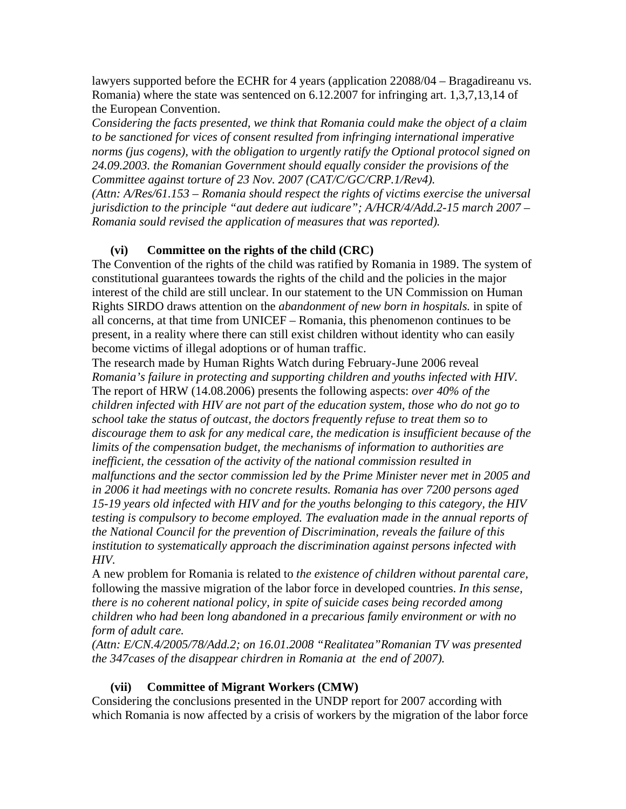lawyers supported before the ECHR for 4 years (application 22088/04 – Bragadireanu vs. Romania) where the state was sentenced on 6.12.2007 for infringing art. 1,3,7,13,14 of the European Convention.

*Considering the facts presented, we think that Romania could make the object of a claim to be sanctioned for vices of consent resulted from infringing international imperative norms (jus cogens), with the obligation to urgently ratify the Optional protocol signed on 24.09.2003. the Romanian Government should equally consider the provisions of the Committee against torture of 23 Nov. 2007 (CAT/C/GC/CRP.1/Rev4).* 

*(Attn: A/Res/61.153 – Romania should respect the rights of victims exercise the universal jurisdiction to the principle "aut dedere aut iudicare"; A/HCR/4/Add.2-15 march 2007 – Romania sould revised the application of measures that was reported).* 

# **(vi) Committee on the rights of the child (CRC)**

The Convention of the rights of the child was ratified by Romania in 1989. The system of constitutional guarantees towards the rights of the child and the policies in the major interest of the child are still unclear. In our statement to the UN Commission on Human Rights SIRDO draws attention on the *abandonment of new born in hospitals.* in spite of all concerns, at that time from UNICEF – Romania, this phenomenon continues to be present, in a reality where there can still exist children without identity who can easily become victims of illegal adoptions or of human traffic.

The research made by Human Rights Watch during February-June 2006 reveal *Romania's failure in protecting and supporting children and youths infected with HIV.*  The report of HRW (14.08.2006) presents the following aspects: *over 40% of the children infected with HIV are not part of the education system, those who do not go to school take the status of outcast, the doctors frequently refuse to treat them so to discourage them to ask for any medical care, the medication is insufficient because of the limits of the compensation budget, the mechanisms of information to authorities are inefficient, the cessation of the activity of the national commission resulted in malfunctions and the sector commission led by the Prime Minister never met in 2005 and in 2006 it had meetings with no concrete results. Romania has over 7200 persons aged 15-19 years old infected with HIV and for the youths belonging to this category, the HIV testing is compulsory to become employed. The evaluation made in the annual reports of the National Council for the prevention of Discrimination, reveals the failure of this institution to systematically approach the discrimination against persons infected with HIV.* 

A new problem for Romania is related to *the existence of children without parental care,*  following the massive migration of the labor force in developed countries. *In this sense, there is no coherent national policy, in spite of suicide cases being recorded among children who had been long abandoned in a precarious family environment or with no form of adult care.* 

*(Attn: E/CN.4/2005/78/Add.2; on 16.01.2008 "Realitatea"Romanian TV was presented the 347cases of the disappear chirdren in Romania at the end of 2007).* 

# **(vii) Committee of Migrant Workers (CMW)**

Considering the conclusions presented in the UNDP report for 2007 according with which Romania is now affected by a crisis of workers by the migration of the labor force